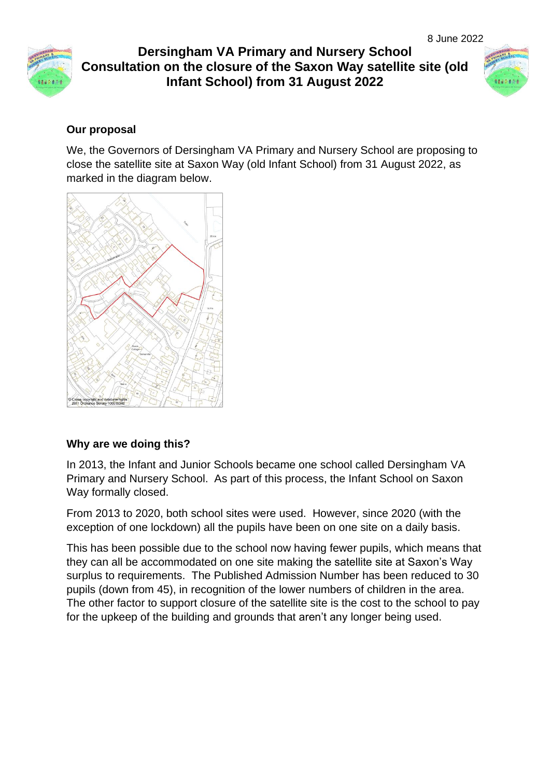



### **Our proposal**

We, the Governors of Dersingham VA Primary and Nursery School are proposing to close the satellite site at Saxon Way (old Infant School) from 31 August 2022, as marked in the diagram below.



### **Why are we doing this?**

In 2013, the Infant and Junior Schools became one school called Dersingham VA Primary and Nursery School. As part of this process, the Infant School on Saxon Way formally closed.

From 2013 to 2020, both school sites were used. However, since 2020 (with the exception of one lockdown) all the pupils have been on one site on a daily basis.

This has been possible due to the school now having fewer pupils, which means that they can all be accommodated on one site making the satellite site at Saxon's Way surplus to requirements. The Published Admission Number has been reduced to 30 pupils (down from 45), in recognition of the lower numbers of children in the area. The other factor to support closure of the satellite site is the cost to the school to pay for the upkeep of the building and grounds that aren't any longer being used.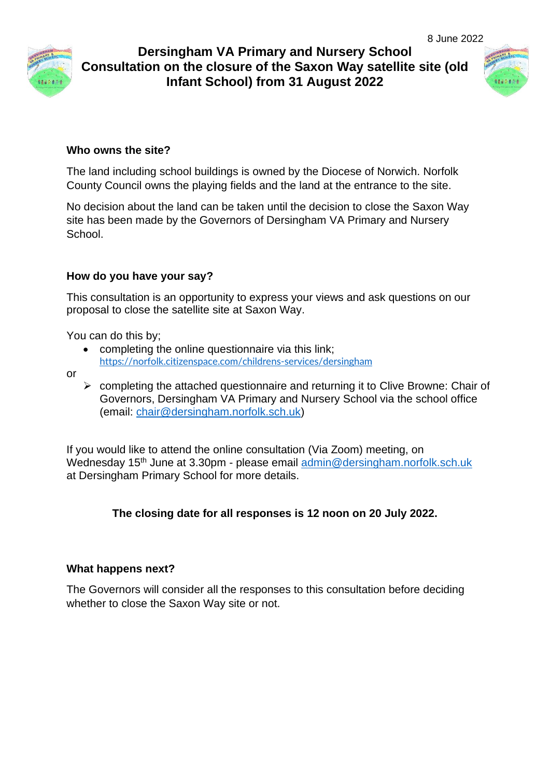



#### **Who owns the site?**

The land including school buildings is owned by the Diocese of Norwich. Norfolk County Council owns the playing fields and the land at the entrance to the site.

No decision about the land can be taken until the decision to close the Saxon Way site has been made by the Governors of Dersingham VA Primary and Nursery School.

#### **How do you have your say?**

This consultation is an opportunity to express your views and ask questions on our proposal to close the satellite site at Saxon Way.

You can do this by;

- completing the online questionnaire via this link; <https://norfolk.citizenspace.com/childrens-services/dersingham>
- or
- ➢ completing the attached questionnaire and returning it to Clive Browne: Chair of Governors, Dersingham VA Primary and Nursery School via the school office (email: [chair@dersingham.norfolk.sch.uk\)](mailto:chair@dersingham.norfolk.sch.uk)

If you would like to attend the online consultation (Via Zoom) meeting, on Wednesday 15<sup>th</sup> June at 3.30pm - please email [admin@dersingham.norfolk.sch.uk](mailto:admin@dersingham.norfolk.sch.uk) at Dersingham Primary School for more details.

### **The closing date for all responses is 12 noon on 20 July 2022.**

#### **What happens next?**

The Governors will consider all the responses to this consultation before deciding whether to close the Saxon Way site or not.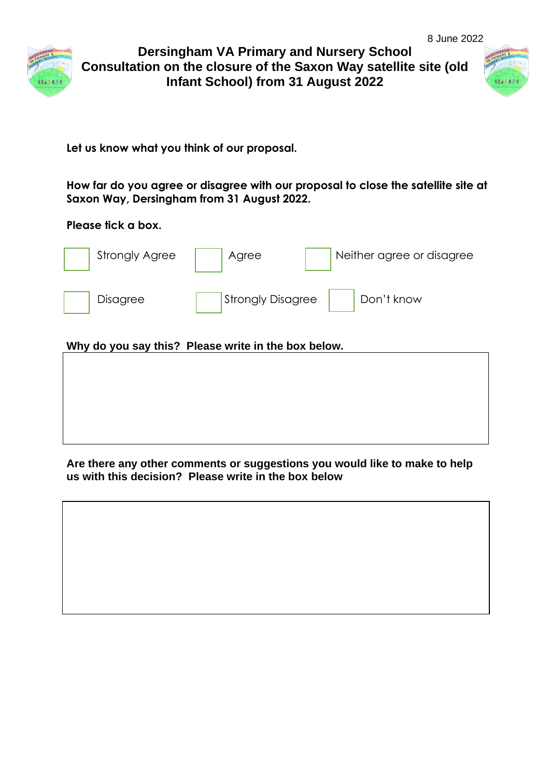



**Let us know what you think of our proposal.**

**How far do you agree or disagree with our proposal to close the satellite site at Saxon Way, Dersingham from 31 August 2022.**

#### **Please tick a box.**

| <b>Strongly Agree</b>                               | Agree             | Neither agree or disagree |  |  |
|-----------------------------------------------------|-------------------|---------------------------|--|--|
| Disagree                                            | Strongly Disagree | Don't know                |  |  |
| Why do you say this? Please write in the box below. |                   |                           |  |  |

#### **Are there any other comments or suggestions you would like to make to help us with this decision? Please write in the box below**

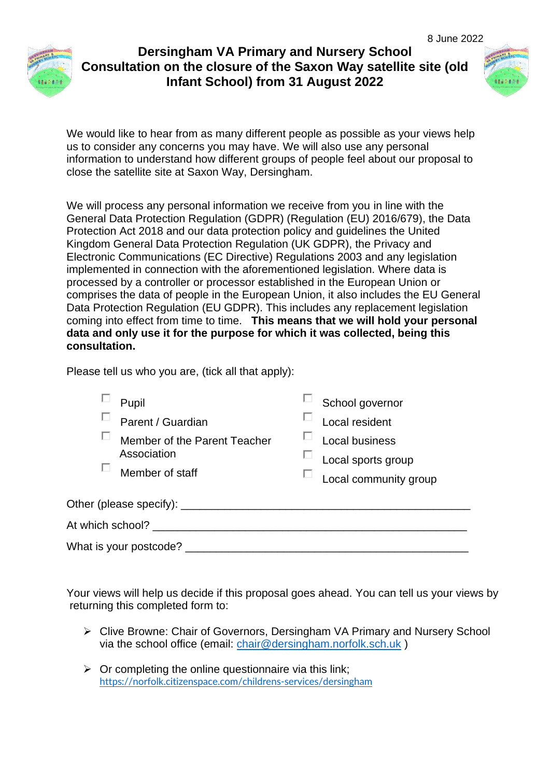



We would like to hear from as many different people as possible as your views help us to consider any concerns you may have. We will also use any personal information to understand how different groups of people feel about our proposal to close the satellite site at Saxon Way, Dersingham.

We will process any personal information we receive from you in line with the General Data Protection Regulation (GDPR) (Regulation (EU) 2016/679), the Data Protection Act 2018 and our data protection policy and guidelines the United Kingdom General Data Protection Regulation (UK GDPR), the Privacy and Electronic Communications (EC Directive) Regulations 2003 and any legislation implemented in connection with the aforementioned legislation. Where data is processed by a controller or processor established in the European Union or comprises the data of people in the European Union, it also includes the EU General Data Protection Regulation (EU GDPR). This includes any replacement legislation coming into effect from time to time. **This means that we will hold your personal data and only use it for the purpose for which it was collected, being this consultation.**

Please tell us who you are, (tick all that apply):

|                                  | Pupil<br>Parent / Guardian<br>Member of the Parent Teacher<br>Association<br>Member of staff |  | School governor<br>Local resident<br>Local business<br>Local sports group<br>Local community group |  |
|----------------------------------|----------------------------------------------------------------------------------------------|--|----------------------------------------------------------------------------------------------------|--|
| Other (please specify): ________ |                                                                                              |  |                                                                                                    |  |
| At which school?                 |                                                                                              |  |                                                                                                    |  |
|                                  | What is your postcode?                                                                       |  |                                                                                                    |  |

Your views will help us decide if this proposal goes ahead. You can tell us your views by returning this completed form to:

- ➢ Clive Browne: Chair of Governors, Dersingham VA Primary and Nursery School via the school office (email: [chair@dersingham.norfolk.sch.uk](mailto:chair@dersingham.norfolk.sch.uk) )
- $\triangleright$  Or completing the online questionnaire via this link; <https://norfolk.citizenspace.com/childrens-services/dersingham>